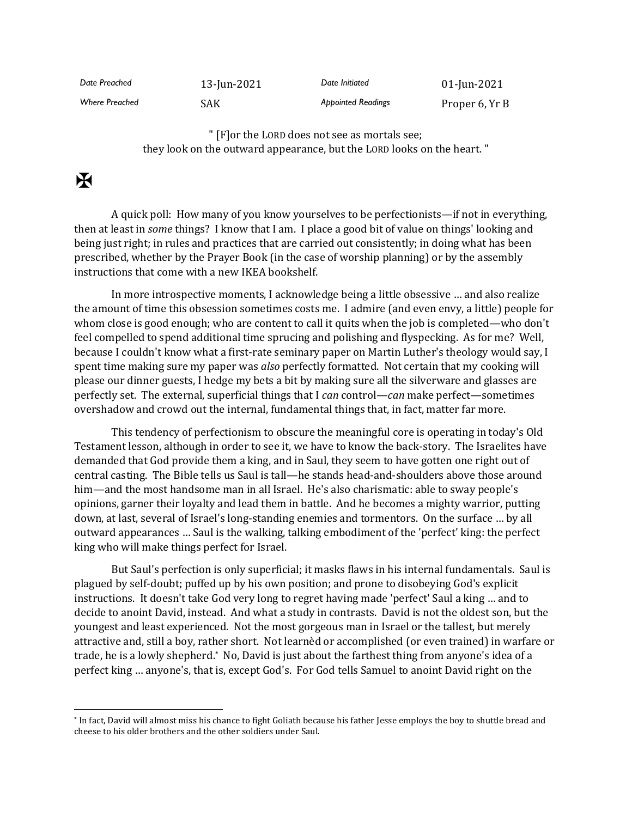*Date Preached* 13-Jun-2021 *Date Initiated* 01-Jun-2021 Where Preached **SAK** SAK **Appointed Readings** Proper 6, Yr B

> " [F]or the LORD does not see as mortals see; they look on the outward appearance, but the LORD looks on the heart. "

## $\mathbf F$

A quick poll: How many of you know yourselves to be perfectionists—if not in everything, then at least in *some* things? I know that I am. I place a good bit of value on things' looking and being just right; in rules and practices that are carried out consistently; in doing what has been prescribed, whether by the Prayer Book (in the case of worship planning) or by the assembly instructions that come with a new IKEA bookshelf.

In more introspective moments, I acknowledge being a little obsessive … and also realize the amount of time this obsession sometimes costs me. I admire (and even envy, a little) people for whom close is good enough; who are content to call it quits when the job is completed—who don't feel compelled to spend additional time sprucing and polishing and flyspecking. As for me? Well, because I couldn't know what a first-rate seminary paper on Martin Luther's theology would say, I spent time making sure my paper was *also* perfectly formatted. Not certain that my cooking will please our dinner guests, I hedge my bets a bit by making sure all the silverware and glasses are perfectly set. The external, superficial things that I *can* control—*can* make perfect—sometimes overshadow and crowd out the internal, fundamental things that, in fact, matter far more.

This tendency of perfectionism to obscure the meaningful core is operating in today's Old Testament lesson, although in order to see it, we have to know the back-story. The Israelites have demanded that God provide them a king, and in Saul, they seem to have gotten one right out of central casting. The Bible tells us Saul is tall—he stands head-and-shoulders above those around him—and the most handsome man in all Israel. He's also charismatic: able to sway people's opinions, garner their loyalty and lead them in battle. And he becomes a mighty warrior, putting down, at last, several of Israel's long-standing enemies and tormentors. On the surface … by all outward appearances … Saul is the walking, talking embodiment of the 'perfect' king: the perfect king who will make things perfect for Israel.

But Saul's perfection is only superficial; it masks flaws in his internal fundamentals. Saul is plagued by self-doubt; puffed up by his own position; and prone to disobeying God's explicit instructions. It doesn't take God very long to regret having made 'perfect' Saul a king … and to decide to anoint David, instead. And what a study in contrasts. David is not the oldest son, but the youngest and least experienced. Not the most gorgeous man in Israel or the tallest, but merely attractive and, still a boy, rather short. Not learnèd or accomplished (or even trained) in warfare or trade, he is a lowly shepherd.\* No, David is just about the farthest thing from anyone's idea of a perfect king … anyone's, that is, except God's. For God tells Samuel to anoint David right on the

<sup>\*</sup> In fact, David will almost miss his chance to fight Goliath because his father Jesse employs the boy to shuttle bread and cheese to his older brothers and the other soldiers under Saul.